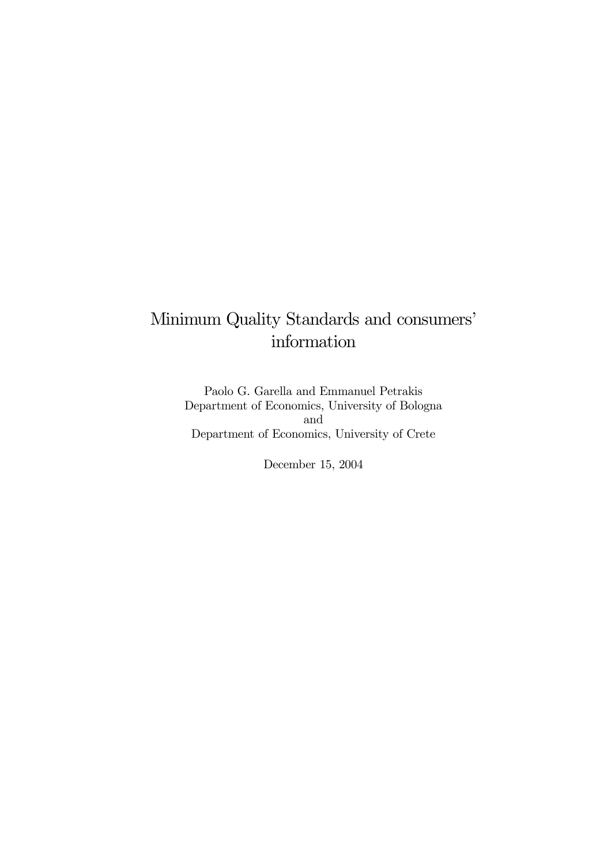# Minimum Quality Standards and consumers' information

Paolo G. Garella and Emmanuel Petrakis Department of Economics, University of Bologna and Department of Economics, University of Crete

December 15, 2004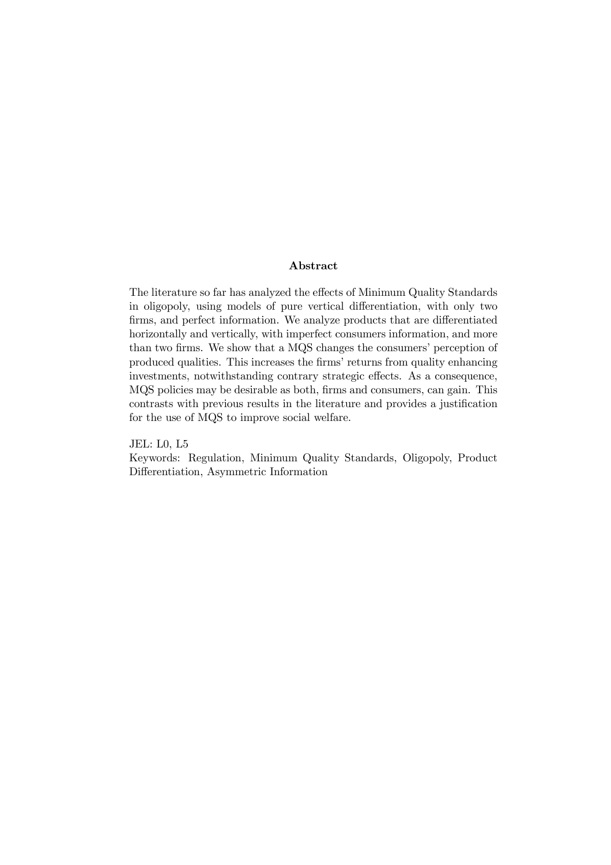## Abstract

The literature so far has analyzed the effects of Minimum Quality Standards in oligopoly, using models of pure vertical differentiation, with only two firms, and perfect information. We analyze products that are differentiated horizontally and vertically, with imperfect consumers information, and more than two firms. We show that a MQS changes the consumers' perception of produced qualities. This increases the firms' returns from quality enhancing investments, notwithstanding contrary strategic effects. As a consequence, MQS policies may be desirable as both, firms and consumers, can gain. This contrasts with previous results in the literature and provides a justification for the use of MQS to improve social welfare.

JEL: L0, L5

Keywords: Regulation, Minimum Quality Standards, Oligopoly, Product Differentiation, Asymmetric Information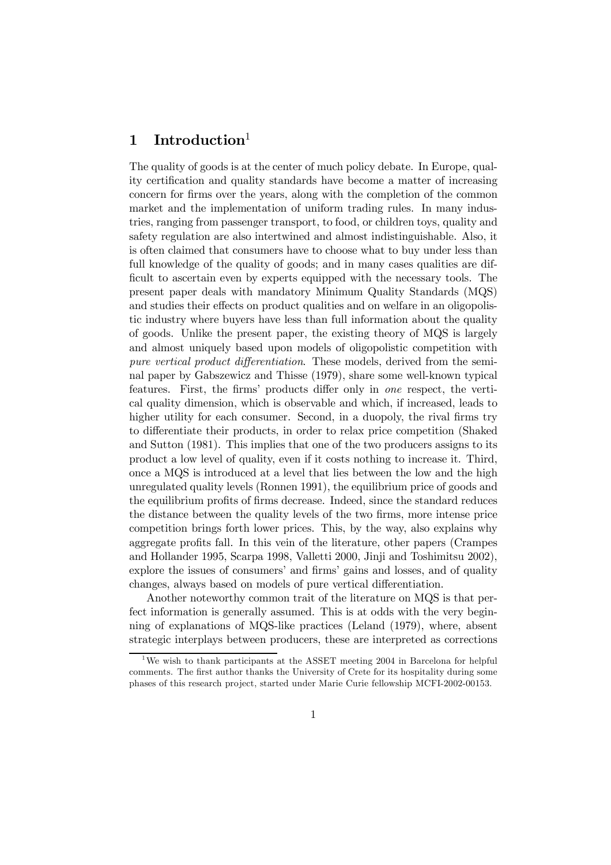## 1 Introduction

The quality of goods is at the center of much policy debate. In Europe, quality certification and quality standards have become a matter of increasing concern for firms over the years, along with the completion of the common market and the implementation of uniform trading rules. In many industries, ranging from passenger transport, to food, or children toys, quality and safety regulation are also intertwined and almost indistinguishable. Also, it is often claimed that consumers have to choose what to buy under less than full knowledge of the quality of goods; and in many cases qualities are difficult to ascertain even by experts equipped with the necessary tools. The present paper deals with mandatory Minimum Quality Standards (MQS) and studies their effects on product qualities and on welfare in an oligopolistic industry where buyers have less than full information about the quality of goods. Unlike the present paper, the existing theory of MQS is largely and almost uniquely based upon models of oligopolistic competition with pure vertical product differentiation. These models, derived from the seminal paper by Gabszewicz and Thisse (1979), share some well-known typical features. First, the firms' products differ only in one respect, the vertical quality dimension, which is observable and which, if increased, leads to higher utility for each consumer. Second, in a duopoly, the rival firms try to differentiate their products, in order to relax price competition (Shaked and Sutton (1981). This implies that one of the two producers assigns to its product a low level of quality, even if it costs nothing to increase it. Third, once a MQS is introduced at a level that lies between the low and the high unregulated quality levels (Ronnen 1991), the equilibrium price of goods and the equilibrium profits of firms decrease. Indeed, since the standard reduces the distance between the quality levels of the two firms, more intense price competition brings forth lower prices. This, by the way, also explains why aggregate profits fall. In this vein of the literature, other papers (Crampes and Hollander 1995, Scarpa 1998, Valletti 2000, Jinji and Toshimitsu 2002), explore the issues of consumers' and firms' gains and losses, and of quality changes, always based on models of pure vertical differentiation.

Another noteworthy common trait of the literature on MQS is that perfect information is generally assumed. This is at odds with the very beginning of explanations of MQS-like practices (Leland (1979), where, absent strategic interplays between producers, these are interpreted as corrections

<sup>&</sup>lt;sup>1</sup>We wish to thank participants at the ASSET meeting 2004 in Barcelona for helpful comments. The first author thanks the University of Crete for its hospitality during some phases of this research project, started under Marie Curie fellowship MCFI-2002-00153.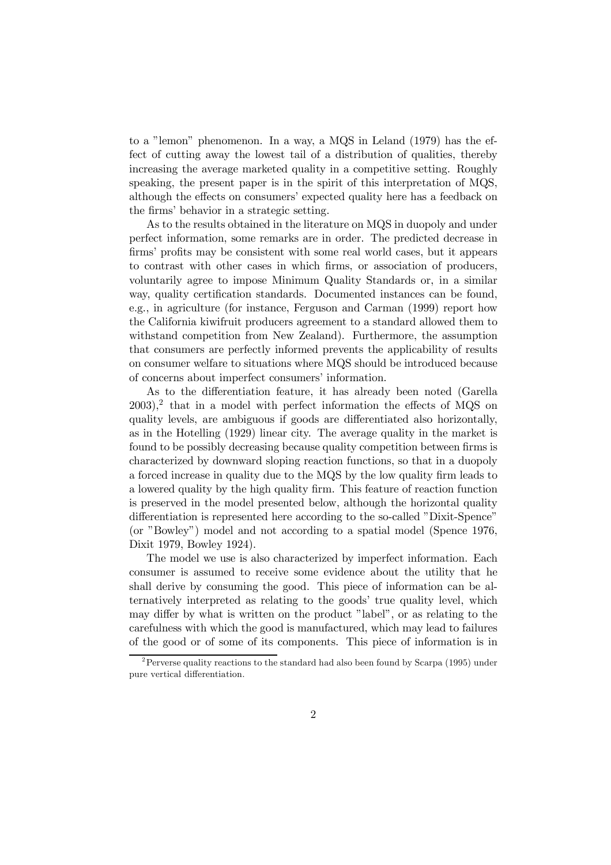to a "lemon" phenomenon. In a way, a MQS in Leland (1979) has the effect of cutting away the lowest tail of a distribution of qualities, thereby increasing the average marketed quality in a competitive setting. Roughly speaking, the present paper is in the spirit of this interpretation of MQS, although the effects on consumers' expected quality here has a feedback on the firms' behavior in a strategic setting.

As to the results obtained in the literature on MQS in duopoly and under perfect information, some remarks are in order. The predicted decrease in firms' profits may be consistent with some real world cases, but it appears to contrast with other cases in which firms, or association of producers, voluntarily agree to impose Minimum Quality Standards or, in a similar way, quality certification standards. Documented instances can be found, e.g., in agriculture (for instance, Ferguson and Carman (1999) report how the California kiwifruit producers agreement to a standard allowed them to withstand competition from New Zealand). Furthermore, the assumption that consumers are perfectly informed prevents the applicability of results on consumer welfare to situations where MQS should be introduced because of concerns about imperfect consumers' information.

As to the differentiation feature, it has already been noted (Garella  $2003$ ,<sup>2</sup> that in a model with perfect information the effects of MQS on quality levels, are ambiguous if goods are differentiated also horizontally, as in the Hotelling (1929) linear city. The average quality in the market is found to be possibly decreasing because quality competition between firms is characterized by downward sloping reaction functions, so that in a duopoly a forced increase in quality due to the MQS by the low quality firm leads to a lowered quality by the high quality firm. This feature of reaction function is preserved in the model presented below, although the horizontal quality differentiation is represented here according to the so-called "Dixit-Spence" (or "Bowley") model and not according to a spatial model (Spence 1976, Dixit 1979, Bowley 1924).

The model we use is also characterized by imperfect information. Each consumer is assumed to receive some evidence about the utility that he shall derive by consuming the good. This piece of information can be alternatively interpreted as relating to the goods' true quality level, which may differ by what is written on the product "label", or as relating to the carefulness with which the good is manufactured, which may lead to failures of the good or of some of its components. This piece of information is in

<sup>&</sup>lt;sup>2</sup> Perverse quality reactions to the standard had also been found by Scarpa (1995) under pure vertical differentiation.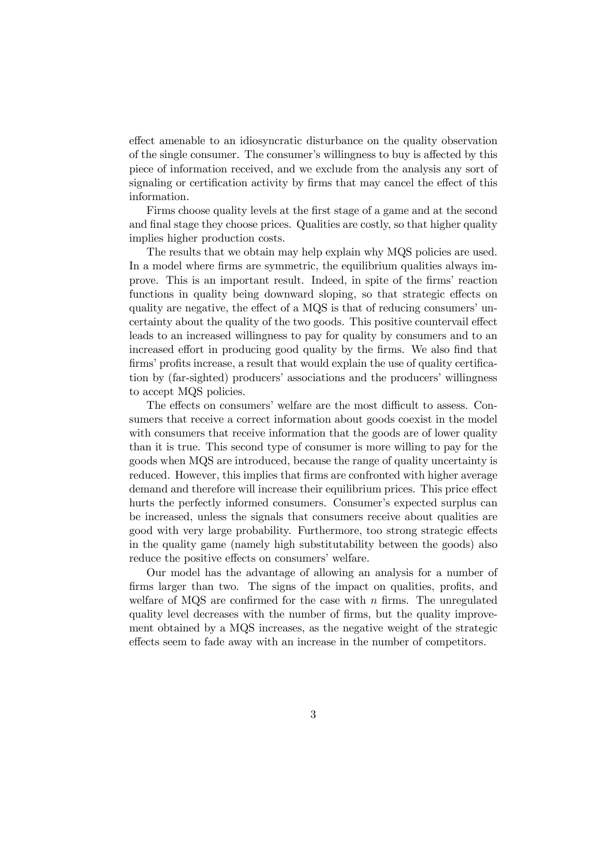effect amenable to an idiosyncratic disturbance on the quality observation of the single consumer. The consumer's willingness to buy is affected by this piece of information received, and we exclude from the analysis any sort of signaling or certification activity by firms that may cancel the effect of this information.

Firms choose quality levels at the first stage of a game and at the second and final stage they choose prices. Qualities are costly, so that higher quality implies higher production costs.

The results that we obtain may help explain why MQS policies are used. In a model where firms are symmetric, the equilibrium qualities always improve. This is an important result. Indeed, in spite of the firms' reaction functions in quality being downward sloping, so that strategic effects on quality are negative, the effect of a MQS is that of reducing consumers' uncertainty about the quality of the two goods. This positive countervail effect leads to an increased willingness to pay for quality by consumers and to an increased effort in producing good quality by the firms. We also find that firms' profits increase, a result that would explain the use of quality certification by (far-sighted) producers' associations and the producers' willingness to accept MQS policies.

The effects on consumers' welfare are the most difficult to assess. Consumers that receive a correct information about goods coexist in the model with consumers that receive information that the goods are of lower quality than it is true. This second type of consumer is more willing to pay for the goods when MQS are introduced, because the range of quality uncertainty is reduced. However, this implies that firms are confronted with higher average demand and therefore will increase their equilibrium prices. This price effect hurts the perfectly informed consumers. Consumer's expected surplus can be increased, unless the signals that consumers receive about qualities are good with very large probability. Furthermore, too strong strategic effects in the quality game (namely high substitutability between the goods) also reduce the positive effects on consumers' welfare.

Our model has the advantage of allowing an analysis for a number of firms larger than two. The signs of the impact on qualities, profits, and welfare of MQS are confirmed for the case with  $n$  firms. The unregulated quality level decreases with the number of firms, but the quality improvement obtained by a MQS increases, as the negative weight of the strategic effects seem to fade away with an increase in the number of competitors.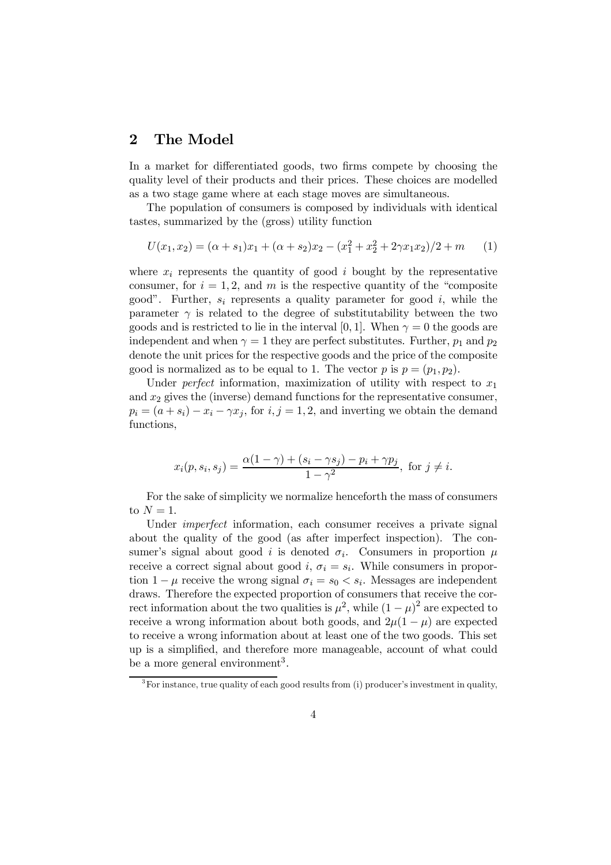## 2 The Model

In a market for differentiated goods, two firms compete by choosing the quality level of their products and their prices. These choices are modelled as a two stage game where at each stage moves are simultaneous.

The population of consumers is composed by individuals with identical tastes, summarized by the (gross) utility function

$$
U(x_1, x_2) = (\alpha + s_1)x_1 + (\alpha + s_2)x_2 - (x_1^2 + x_2^2 + 2\gamma x_1 x_2)/2 + m \tag{1}
$$

where  $x_i$  represents the quantity of good i bought by the representative consumer, for  $i = 1, 2$ , and m is the respective quantity of the "composite" good". Further,  $s_i$  represents a quality parameter for good i, while the parameter  $\gamma$  is related to the degree of substitutability between the two goods and is restricted to lie in the interval [0, 1]. When  $\gamma = 0$  the goods are independent and when  $\gamma = 1$  they are perfect substitutes. Further,  $p_1$  and  $p_2$ denote the unit prices for the respective goods and the price of the composite good is normalized as to be equal to 1. The vector p is  $p = (p_1, p_2)$ .

Under *perfect* information, maximization of utility with respect to  $x_1$ and  $x_2$  gives the (inverse) demand functions for the representative consumer,  $p_i = (a + s_i) - x_i - \gamma x_i$ , for  $i, j = 1, 2$ , and inverting we obtain the demand functions,

$$
x_i(p, s_i, s_j) = \frac{\alpha(1 - \gamma) + (s_i - \gamma s_j) - p_i + \gamma p_j}{1 - \gamma^2}, \text{ for } j \neq i.
$$

For the sake of simplicity we normalize henceforth the mass of consumers to  $N = 1$ .

Under *imperfect* information, each consumer receives a private signal about the quality of the good (as after imperfect inspection). The consumer's signal about good i is denoted  $\sigma_i$ . Consumers in proportion  $\mu$ receive a correct signal about good i,  $\sigma_i = s_i$ . While consumers in proportion  $1 - \mu$  receive the wrong signal  $\sigma_i = s_0 < s_i$ . Messages are independent draws. Therefore the expected proportion of consumers that receive the correct information about the two qualities is  $\mu^2$ , while  $(1 - \mu)^2$  are expected to receive a wrong information about both goods, and  $2\mu(1-\mu)$  are expected to receive a wrong information about at least one of the two goods. This set up is a simplified, and therefore more manageable, account of what could be a more general environment<sup>3</sup>.

 $3$ For instance, true quality of each good results from (i) producer's investment in quality.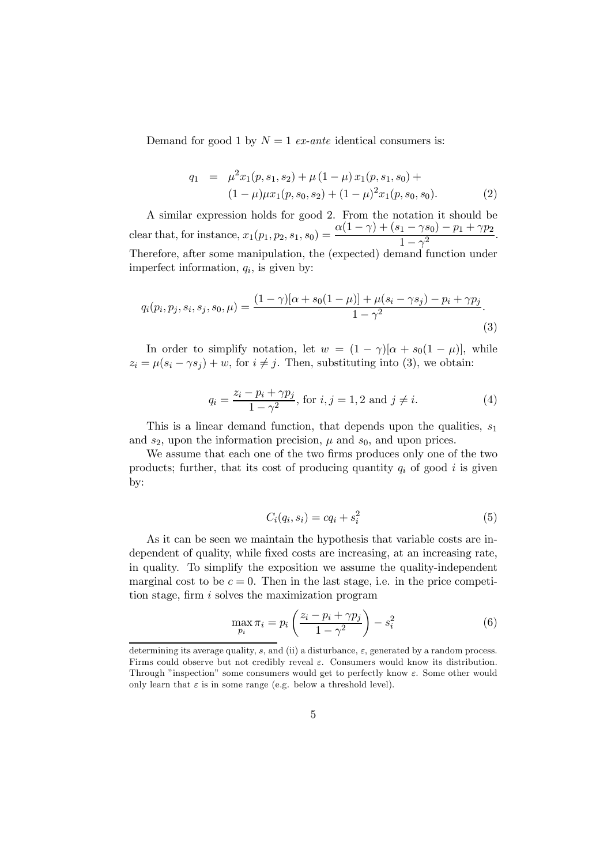Demand for good 1 by  $N = 1$  ex-ante identical consumers is:

$$
q_1 = \mu^2 x_1(p, s_1, s_2) + \mu (1 - \mu) x_1(p, s_1, s_0) +
$$
  

$$
(1 - \mu) \mu x_1(p, s_0, s_2) + (1 - \mu)^2 x_1(p, s_0, s_0).
$$
 (2)

A similar expression holds for good 2. From the notation it should be clear that, for instance,  $x_1(p_1, p_2, s_1, s_0) = \frac{\alpha(1-\gamma) + (s_1 - \gamma s_0) - p_1 + \gamma p_2}{1 - \gamma^2}.$ Therefore, after some manipulation, the (expected) demand function under imperfect information,  $q_i$ , is given by:

$$
q_i(p_i, p_j, s_i, s_j, s_0, \mu) = \frac{(1 - \gamma)[\alpha + s_0(1 - \mu)] + \mu(s_i - \gamma s_j) - p_i + \gamma p_j}{1 - \gamma^2}.
$$
\n(3)

In order to simplify notation, let  $w = (1 - \gamma)[\alpha + s_0(1 - \mu)]$ , while  $z_i = \mu(s_i - \gamma s_j) + w$ , for  $i \neq j$ . Then, substituting into (3), we obtain:

$$
q_i = \frac{z_i - p_i + \gamma p_j}{1 - \gamma^2}, \text{ for } i, j = 1, 2 \text{ and } j \neq i.
$$
 (4)

This is a linear demand function, that depends upon the qualities,  $s_1$ and  $s_2$ , upon the information precision,  $\mu$  and  $s_0$ , and upon prices.

We assume that each one of the two firms produces only one of the two products; further, that its cost of producing quantity  $q_i$  of good i is given by:

$$
C_i(q_i, s_i) = cq_i + s_i^2 \tag{5}
$$

As it can be seen we maintain the hypothesis that variable costs are independent of quality, while fixed costs are increasing, at an increasing rate, in quality. To simplify the exposition we assume the quality-independent marginal cost to be  $c = 0$ . Then in the last stage, i.e. in the price competition stage, firm i solves the maximization program

$$
\max_{p_i} \pi_i = p_i \left( \frac{z_i - p_i + \gamma p_j}{1 - \gamma^2} \right) - s_i^2 \tag{6}
$$

determining its average quality, s, and (ii) a disturbance,  $\varepsilon$ , generated by a random process. Firms could observe but not credibly reveal  $\varepsilon$ . Consumers would know its distribution. Through "inspection" some consumers would get to perfectly know  $\varepsilon$ . Some other would only learn that  $\varepsilon$  is in some range (e.g. below a threshold level).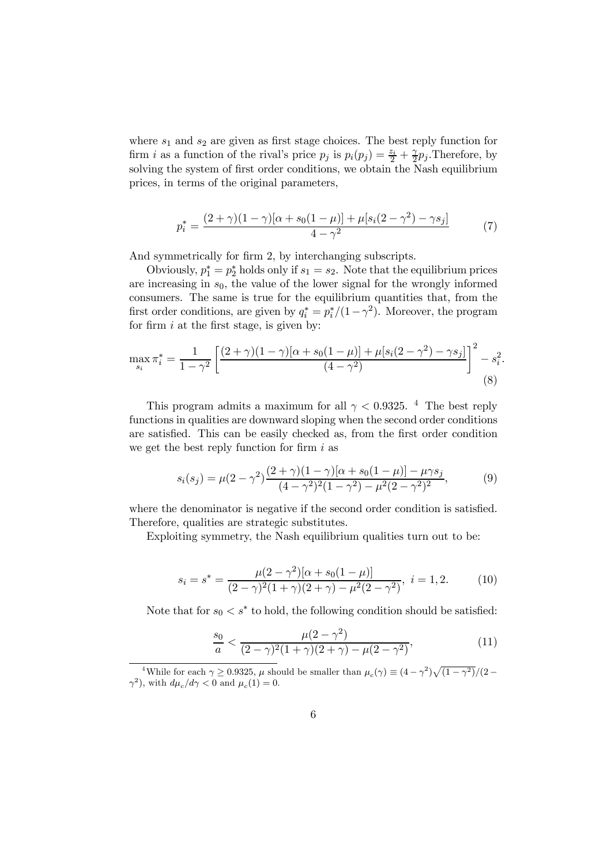where  $s_1$  and  $s_2$  are given as first stage choices. The best reply function for firm *i* as a function of the rival's price  $p_j$  is  $p_i(p_j) = \frac{z_i}{2} + \frac{\gamma}{2}p_j$ . Therefore, by solving the system of first order conditions, we obtain the Nash equilibrium prices, in terms of the original parameters,

$$
p_i^* = \frac{(2+\gamma)(1-\gamma)[\alpha+s_0(1-\mu)]+\mu[s_i(2-\gamma^2)-\gamma s_j]}{4-\gamma^2}
$$
 (7)

And symmetrically for firm 2, by interchanging subscripts.

Obviously,  $p_1^* = p_2^*$  holds only if  $s_1 = s_2$ . Note that the equilibrium prices are increasing in  $s_0$ , the value of the lower signal for the wrongly informed consumers. The same is true for the equilibrium quantities that, from the first order conditions, are given by  $q_i^* = p_i^*/(1-\gamma^2)$ . Moreover, the program for firm  $i$  at the first stage, is given by:

$$
\max_{s_i} \pi_i^* = \frac{1}{1 - \gamma^2} \left[ \frac{(2 + \gamma)(1 - \gamma)[\alpha + s_0(1 - \mu)] + \mu[s_i(2 - \gamma^2) - \gamma s_j]}{(4 - \gamma^2)} \right]^2 - s_i^2.
$$
\n(8)

This program admits a maximum for all  $\gamma < 0.9325$ . <sup>4</sup> The best reply functions in qualities are downward sloping when the second order conditions are satisfied. This can be easily checked as, from the first order condition we get the best reply function for firm  $i$  as

$$
s_i(s_j) = \mu(2 - \gamma^2) \frac{(2 + \gamma)(1 - \gamma)[\alpha + s_0(1 - \mu)] - \mu \gamma s_j}{(4 - \gamma^2)^2 (1 - \gamma^2) - \mu^2 (2 - \gamma^2)^2},
$$
(9)

where the denominator is negative if the second order condition is satisfied. Therefore, qualities are strategic substitutes.

Exploiting symmetry, the Nash equilibrium qualities turn out to be:

$$
s_i = s^* = \frac{\mu(2 - \gamma^2)[\alpha + s_0(1 - \mu)]}{(2 - \gamma)^2(1 + \gamma)(2 + \gamma) - \mu^2(2 - \gamma^2)}, \ i = 1, 2. \tag{10}
$$

Note that for  $s_0 < s^*$  to hold, the following condition should be satisfied:

$$
\frac{s_0}{a} < \frac{\mu(2-\gamma^2)}{(2-\gamma)^2(1+\gamma)(2+\gamma) - \mu(2-\gamma^2)},\tag{11}
$$

<sup>&</sup>lt;sup>4</sup>While for each  $\gamma \ge 0.9325$ ,  $\mu$  should be smaller than  $\mu_c(\gamma) \equiv (4 - \gamma^2)\sqrt{(1 - \gamma^2)}/(2 - \gamma^2)$  $\gamma^2$ ), with  $d\mu_c/d\gamma < 0$  and  $\mu_c(1) = 0$ .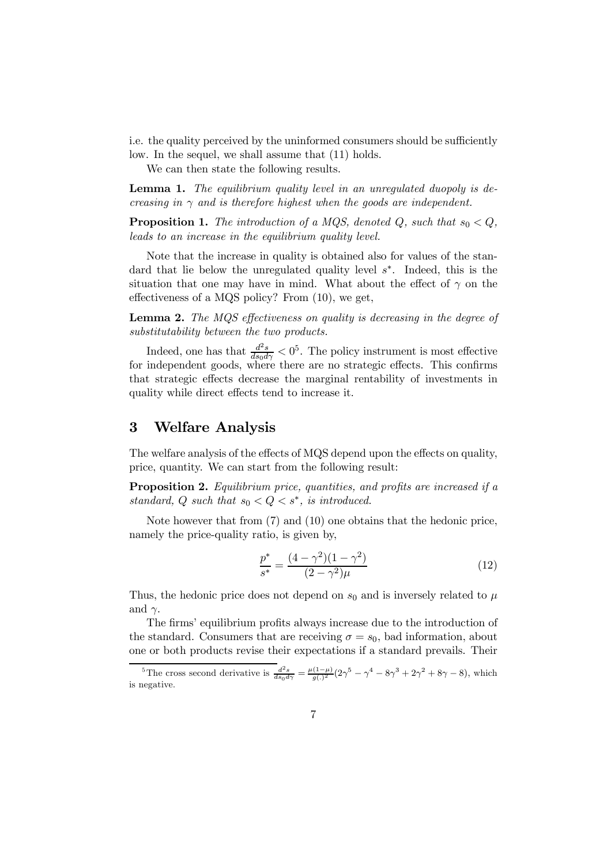i.e. the quality perceived by the uninformed consumers should be sufficiently low. In the sequel, we shall assume that (11) holds.

We can then state the following results.

Lemma 1. The equilibrium quality level in an unregulated duopoly is decreasing in  $\gamma$  and is therefore highest when the goods are independent.

**Proposition 1.** The introduction of a MQS, denoted Q, such that  $s_0 < Q$ , leads to an increase in the equilibrium quality level.

Note that the increase in quality is obtained also for values of the standard that lie below the unregulated quality level  $s<sup>*</sup>$ . Indeed, this is the situation that one may have in mind. What about the effect of  $\gamma$  on the effectiveness of a MQS policy? From (10), we get,

Lemma 2. The MQS effectiveness on quality is decreasing in the degree of substitutability between the two products.

Indeed, one has that  $\frac{d^2s}{ds_0d\gamma}<0^5$ . The policy instrument is most effective for independent goods, where there are no strategic effects. This confirms that strategic effects decrease the marginal rentability of investments in quality while direct effects tend to increase it.

## 3 Welfare Analysis

The welfare analysis of the effects of MQS depend upon the effects on quality, price, quantity. We can start from the following result:

**Proposition 2.** Equilibrium price, quantities, and profits are increased if a standard, Q such that  $s_0 < Q < s^*$ , is introduced.

Note however that from (7) and (10) one obtains that the hedonic price, namely the price-quality ratio, is given by,

$$
\frac{p^*}{s^*} = \frac{(4 - \gamma^2)(1 - \gamma^2)}{(2 - \gamma^2)\mu} \tag{12}
$$

Thus, the hedonic price does not depend on  $s_0$  and is inversely related to  $\mu$ and  $\gamma$ .

The firms' equilibrium profits always increase due to the introduction of the standard. Consumers that are receiving  $\sigma = s_0$ , bad information, about one or both products revise their expectations if a standard prevails. Their

<sup>&</sup>lt;sup>5</sup>The cross second derivative is  $\frac{d^2s}{ds_0d\gamma} = \frac{\mu(1-\mu)}{g(.)^2} (2\gamma^5 - \gamma^4 - 8\gamma^3 + 2\gamma^2 + 8\gamma - 8)$ , which is negative.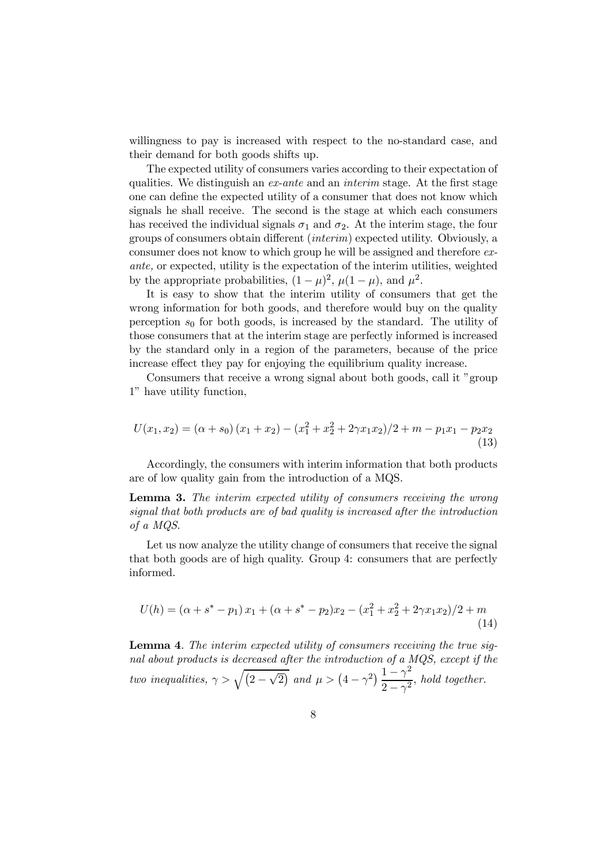willingness to pay is increased with respect to the no-standard case, and their demand for both goods shifts up.

The expected utility of consumers varies according to their expectation of qualities. We distinguish an ex-ante and an interim stage. At the first stage one can define the expected utility of a consumer that does not know which signals he shall receive. The second is the stage at which each consumers has received the individual signals  $\sigma_1$  and  $\sigma_2$ . At the interim stage, the four groups of consumers obtain different (interim) expected utility. Obviously, a consumer does not know to which group he will be assigned and therefore exante, or expected, utility is the expectation of the interim utilities, weighted by the appropriate probabilities,  $(1 - \mu)^2$ ,  $\mu(1 - \mu)$ , and  $\mu^2$ .

It is easy to show that the interim utility of consumers that get the wrong information for both goods, and therefore would buy on the quality perception  $s_0$  for both goods, is increased by the standard. The utility of those consumers that at the interim stage are perfectly informed is increased by the standard only in a region of the parameters, because of the price increase effect they pay for enjoying the equilibrium quality increase.

Consumers that receive a wrong signal about both goods, call it "group 1" have utility function,

$$
U(x_1, x_2) = (\alpha + s_0) (x_1 + x_2) - (x_1^2 + x_2^2 + 2\gamma x_1 x_2)/2 + m - p_1 x_1 - p_2 x_2
$$
\n(13)

Accordingly, the consumers with interim information that both products are of low quality gain from the introduction of a MQS.

Lemma 3. The interim expected utility of consumers receiving the wrong signal that both products are of bad quality is increased after the introduction of a MQS.

Let us now analyze the utility change of consumers that receive the signal that both goods are of high quality. Group 4: consumers that are perfectly informed.

$$
U(h) = (\alpha + s^* - p_1)x_1 + (\alpha + s^* - p_2)x_2 - (x_1^2 + x_2^2 + 2\gamma x_1 x_2)/2 + m
$$
\n(14)

Lemma 4. The interim expected utility of consumers receiving the true signal about products is decreased after the introduction of a MQS, except if the two inequalities,  $\gamma > \sqrt{(2-\sqrt{2})}$  and  $\mu > (4-\gamma^2)\frac{1-\gamma^2}{2-\gamma^2}$  $\frac{1}{2-\gamma^2}$ , hold together.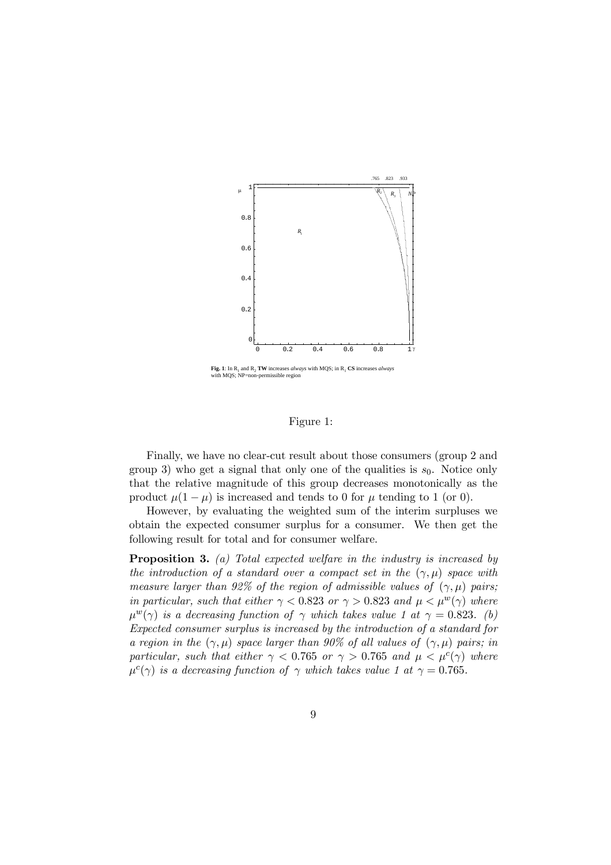

**Fig. 1**: In  $R_1$  and  $R_2$  **TW** increases *always* with MQS; in  $R_1$  **CS** increases *always* with MQS; NP=non-permissible region

#### Figure 1:

Finally, we have no clear-cut result about those consumers (group 2 and group 3) who get a signal that only one of the qualities is  $s_0$ . Notice only that the relative magnitude of this group decreases monotonically as the product  $\mu(1-\mu)$  is increased and tends to 0 for  $\mu$  tending to 1 (or 0).

However, by evaluating the weighted sum of the interim surpluses we obtain the expected consumer surplus for a consumer. We then get the following result for total and for consumer welfare.

Proposition 3. (a) Total expected welfare in the industry is increased by the introduction of a standard over a compact set in the  $(\gamma, \mu)$  space with measure larger than 92% of the region of admissible values of  $(\gamma, \mu)$  pairs; in particular, such that either  $\gamma < 0.823$  or  $\gamma > 0.823$  and  $\mu < \mu^{w}(\gamma)$  where  $\mu^{w}(\gamma)$  is a decreasing function of  $\gamma$  which takes value 1 at  $\gamma = 0.823$ . (b) Expected consumer surplus is increased by the introduction of a standard for a region in the  $(\gamma, \mu)$  space larger than 90% of all values of  $(\gamma, \mu)$  pairs; in particular, such that either  $\gamma < 0.765$  or  $\gamma > 0.765$  and  $\mu < \mu^c(\gamma)$  where  $\mu^{c}(\gamma)$  is a decreasing function of  $\gamma$  which takes value 1 at  $\gamma = 0.765$ .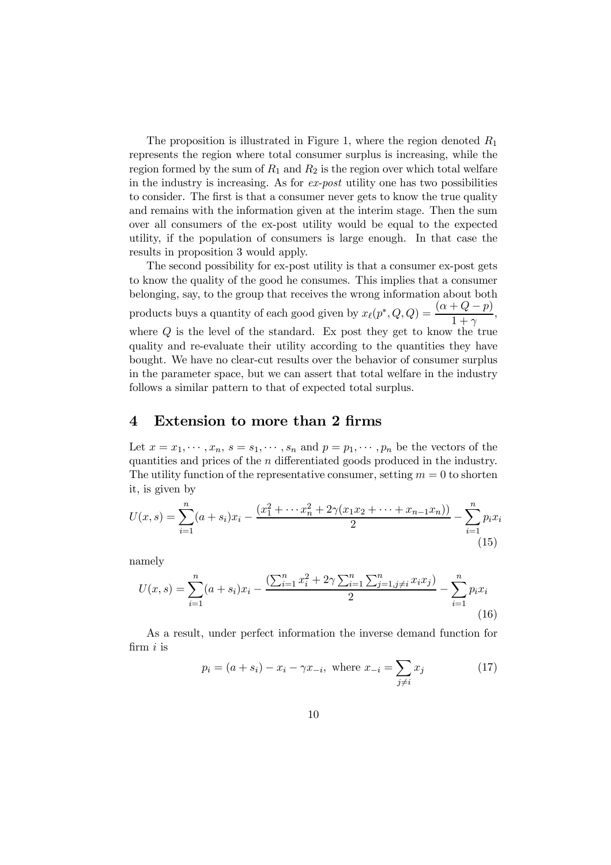The proposition is illustrated in Figure 1, where the region denoted  $R_1$ represents the region where total consumer surplus is increasing, while the region formed by the sum of  $R_1$  and  $R_2$  is the region over which total welfare in the industry is increasing. As for ex-post utility one has two possibilities to consider. The first is that a consumer never gets to know the true quality and remains with the information given at the interim stage. Then the sum over all consumers of the ex-post utility would be equal to the expected utility, if the population of consumers is large enough. In that case the results in proposition 3 would apply.

The second possibility for ex-post utility is that a consumer ex-post gets to know the quality of the good he consumes. This implies that a consumer belonging, say, to the group that receives the wrong information about both products buys a quantity of each good given by  $x_{\ell}(p^*, Q, Q) = \frac{(\alpha + Q - p)}{1 + \gamma}$ , where  $Q$  is the level of the standard. Ex post they get to know the true quality and re-evaluate their utility according to the quantities they have bought. We have no clear-cut results over the behavior of consumer surplus in the parameter space, but we can assert that total welfare in the industry follows a similar pattern to that of expected total surplus.

## 4 Extension to more than 2 firms

Let  $x = x_1, \dots, x_n$ ,  $s = s_1, \dots, s_n$  and  $p = p_1, \dots, p_n$  be the vectors of the quantities and prices of the n differentiated goods produced in the industry. The utility function of the representative consumer, setting  $m = 0$  to shorten it, is given by

$$
U(x,s) = \sum_{i=1}^{n} (a+s_i)x_i - \frac{(x_1^2 + \dots + x_n^2 + 2\gamma(x_1x_2 + \dots + x_{n-1}x_n))}{2} - \sum_{i=1}^{n} p_i x_i
$$
\n(15)

namely

$$
U(x,s) = \sum_{i=1}^{n} (a+s_i)x_i - \frac{\left(\sum_{i=1}^{n} x_i^2 + 2\gamma \sum_{i=1}^{n} \sum_{j=1, j \neq i}^{n} x_i x_j\right)}{2} - \sum_{i=1}^{n} p_i x_i
$$
\n(16)

As a result, under perfect information the inverse demand function for firm  $i$  is

$$
p_i = (a + s_i) - x_i - \gamma x_{-i}, \text{ where } x_{-i} = \sum_{j \neq i} x_j \tag{17}
$$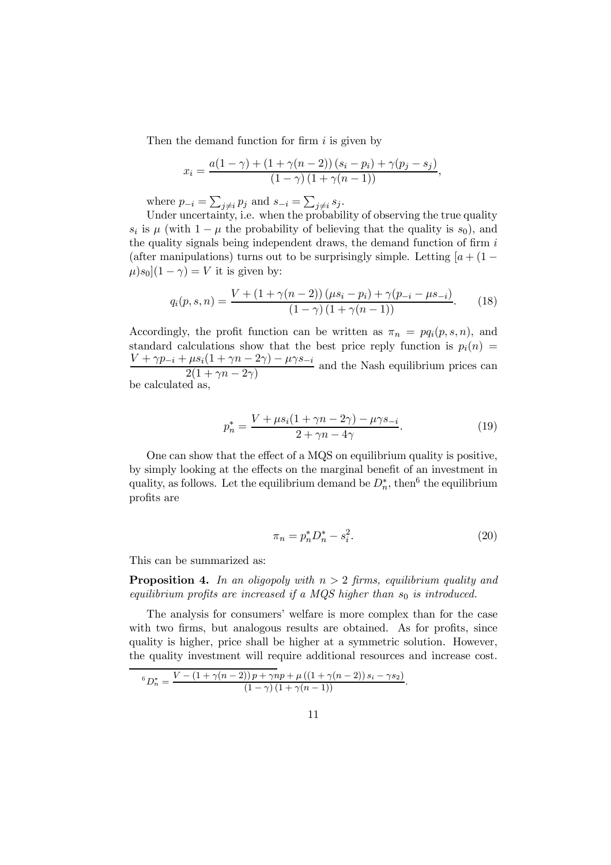Then the demand function for firm  $i$  is given by

$$
x_i = \frac{a(1-\gamma) + (1+\gamma(n-2))(s_i - p_i) + \gamma(p_j - s_j)}{(1-\gamma)(1+\gamma(n-1))},
$$

where  $p_{-i} = \sum_{j \neq i} p_j$  and  $s_{-i} = \sum_{j \neq i} s_j$ .

Under uncertainty, i.e. when the probability of observing the true quality  $s_i$  is  $\mu$  (with  $1 - \mu$  the probability of believing that the quality is  $s_0$ ), and the quality signals being independent draws, the demand function of firm  $i$ (after manipulations) turns out to be surprisingly simple. Letting  $[a + (1 \mu$ )s<sub>0</sub> $(1 - \gamma) = V$  it is given by:

$$
q_i(p, s, n) = \frac{V + (1 + \gamma(n - 2))(\mu s_i - p_i) + \gamma(p_{-i} - \mu s_{-i})}{(1 - \gamma)(1 + \gamma(n - 1))}.
$$
 (18)

Accordingly, the profit function can be written as  $\pi_n = pq_i(p, s, n)$ , and standard calculations show that the best price reply function is  $p_i(n)$  $\frac{V + \gamma p_{-i} + \mu s_i(1 + \gamma n - 2\gamma) - \mu \gamma s_{-i}}{2(1 + \gamma n - 2\gamma)}$  and the Nash equilibrium prices can be calculated as,

$$
p_n^* = \frac{V + \mu s_i (1 + \gamma n - 2\gamma) - \mu \gamma s_{-i}}{2 + \gamma n - 4\gamma}.
$$
 (19)

One can show that the effect of a MQS on equilibrium quality is positive, by simply looking at the effects on the marginal benefit of an investment in quality, as follows. Let the equilibrium demand be  $D_n^*$ , then<sup>6</sup> the equilibrium profits are

$$
\pi_n = p_n^* D_n^* - s_i^2. \tag{20}
$$

This can be summarized as:

**Proposition 4.** In an oligopoly with  $n > 2$  firms, equilibrium quality and equilibrium profits are increased if a MQS higher than  $s_0$  is introduced.

The analysis for consumers' welfare is more complex than for the case with two firms, but analogous results are obtained. As for profits, since quality is higher, price shall be higher at a symmetric solution. However, the quality investment will require additional resources and increase cost.

$$
{}^{6}D_{n}^{*} = \frac{V - (1 + \gamma(n-2))p + \gamma np + \mu((1 + \gamma(n-2))s_{i} - \gamma s_{2})}{(1 - \gamma)(1 + \gamma(n-1))}.
$$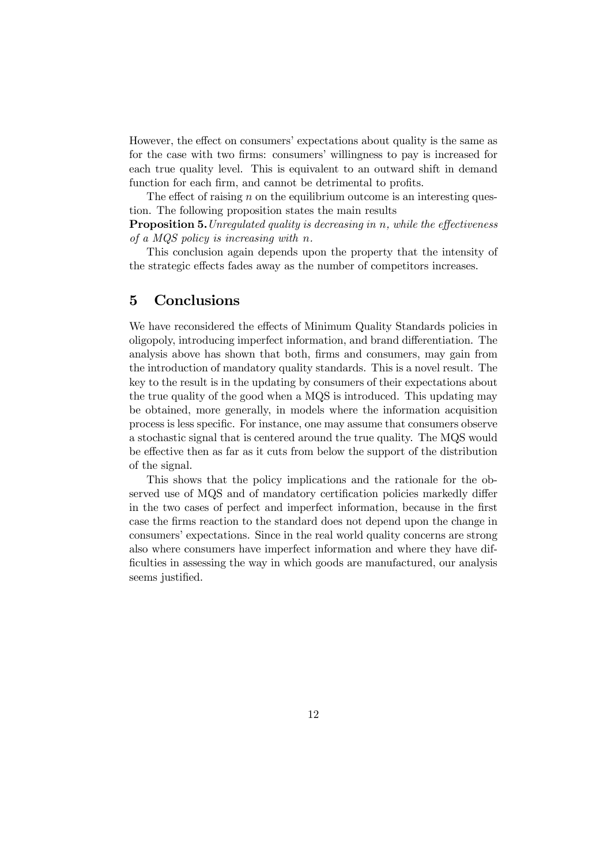However, the effect on consumers' expectations about quality is the same as for the case with two firms: consumers' willingness to pay is increased for each true quality level. This is equivalent to an outward shift in demand function for each firm, and cannot be detrimental to profits.

The effect of raising  $n$  on the equilibrium outcome is an interesting question. The following proposition states the main results

**Proposition 5.** Unregulated quality is decreasing in n, while the effectiveness of a MQS policy is increasing with n.

This conclusion again depends upon the property that the intensity of the strategic effects fades away as the number of competitors increases.

## 5 Conclusions

We have reconsidered the effects of Minimum Quality Standards policies in oligopoly, introducing imperfect information, and brand differentiation. The analysis above has shown that both, firms and consumers, may gain from the introduction of mandatory quality standards. This is a novel result. The key to the result is in the updating by consumers of their expectations about the true quality of the good when a MQS is introduced. This updating may be obtained, more generally, in models where the information acquisition process is less specific. For instance, one may assume that consumers observe a stochastic signal that is centered around the true quality. The MQS would be effective then as far as it cuts from below the support of the distribution of the signal.

This shows that the policy implications and the rationale for the observed use of MQS and of mandatory certification policies markedly differ in the two cases of perfect and imperfect information, because in the first case the firms reaction to the standard does not depend upon the change in consumers' expectations. Since in the real world quality concerns are strong also where consumers have imperfect information and where they have difficulties in assessing the way in which goods are manufactured, our analysis seems justified.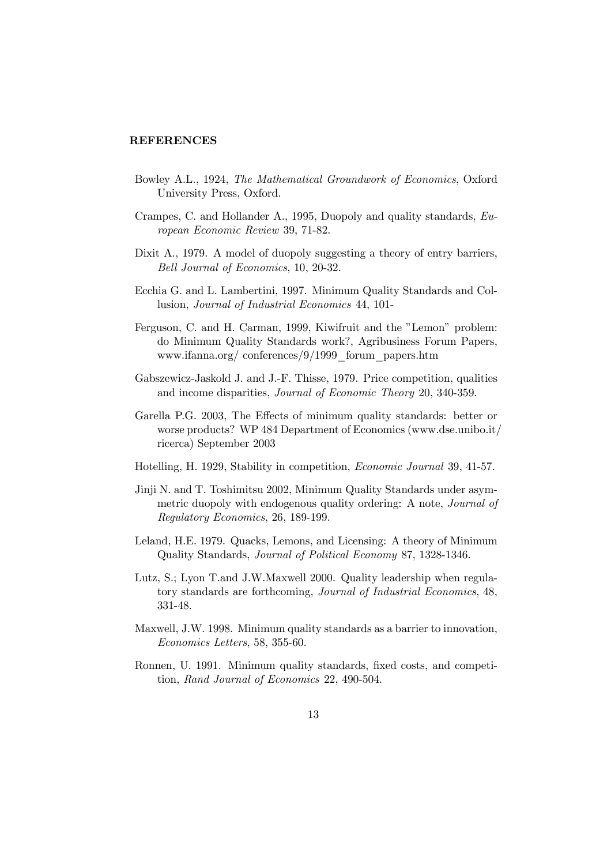#### REFERENCES

- Bowley A.L., 1924, The Mathematical Groundwork of Economics, Oxford University Press, Oxford.
- Crampes, C. and Hollander A., 1995, Duopoly and quality standards, European Economic Review 39, 71-82.
- Dixit A., 1979. A model of duopoly suggesting a theory of entry barriers, Bell Journal of Economics, 10, 20-32.
- Ecchia G. and L. Lambertini, 1997. Minimum Quality Standards and Collusion, Journal of Industrial Economics 44, 101-
- Ferguson, C. and H. Carman, 1999, Kiwifruit and the "Lemon" problem: do Minimum Quality Standards work?, Agribusiness Forum Papers, www.ifanna.org/ conferences/9/1999\_forum\_papers.htm
- Gabszewicz-Jaskold J. and J.-F. Thisse, 1979. Price competition, qualities and income disparities, Journal of Economic Theory 20, 340-359.
- Garella P.G. 2003, The Effects of minimum quality standards: better or worse products? WP 484 Department of Economics (www.dse.unibo.it/ ricerca) September 2003
- Hotelling, H. 1929, Stability in competition, Economic Journal 39, 41-57.
- Jinji N. and T. Toshimitsu 2002, Minimum Quality Standards under asymmetric duopoly with endogenous quality ordering: A note, Journal of Regulatory Economics, 26, 189-199.
- Leland, H.E. 1979. Quacks, Lemons, and Licensing: A theory of Minimum Quality Standards, Journal of Political Economy 87, 1328-1346.
- Lutz, S.; Lyon T.and J.W.Maxwell 2000. Quality leadership when regulatory standards are forthcoming, Journal of Industrial Economics, 48, 331-48.
- Maxwell, J.W. 1998. Minimum quality standards as a barrier to innovation, Economics Letters, 58, 355-60.
- Ronnen, U. 1991. Minimum quality standards, fixed costs, and competition, Rand Journal of Economics 22, 490-504.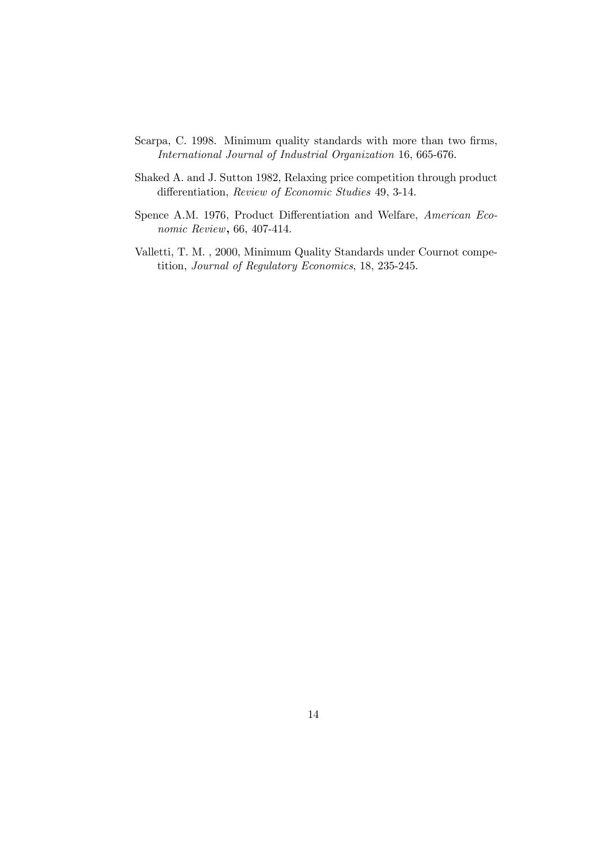- Scarpa, C. 1998. Minimum quality standards with more than two firms, International Journal of Industrial Organization 16, 665-676.
- Shaked A. and J. Sutton 1982, Relaxing price competition through product differentiation, Review of Economic Studies 49, 3-14.
- Spence A.M. 1976, Product Differentiation and Welfare, American Economic Review, 66, 407-414.
- Valletti, T. M. , 2000, Minimum Quality Standards under Cournot competition, Journal of Regulatory Economics, 18, 235-245.